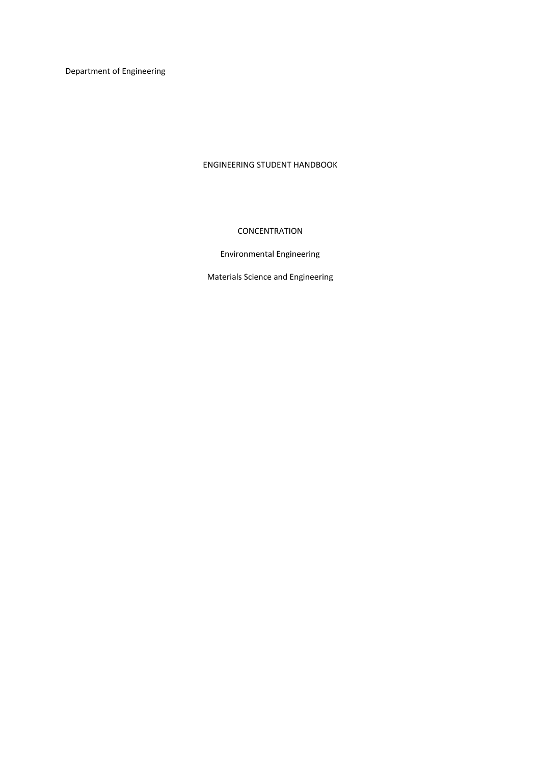Department of Engineering

# ENGINEERING STUDENT HANDBOOK

# **CONCENTRATION**

# Environmental Engineering

Materials Science and Engineering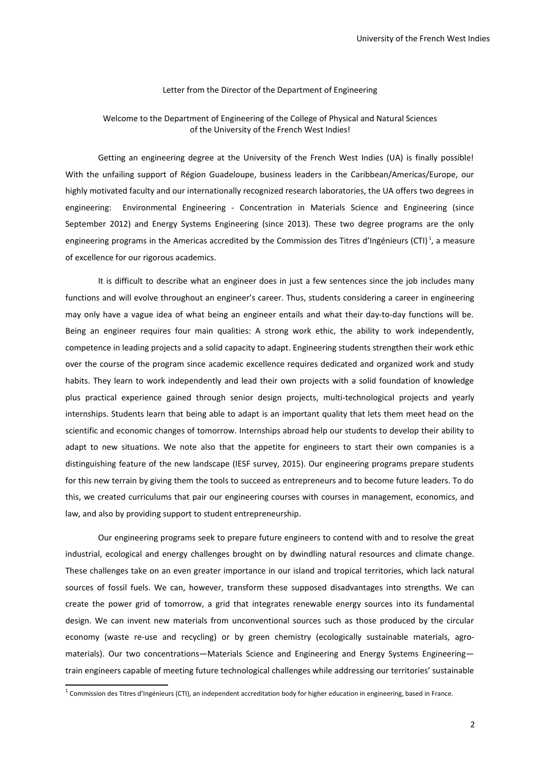### Letter from the Director of the Department of Engineering

# Welcome to the Department of Engineering of the College of Physical and Natural Sciences of the University of the French West Indies!

Getting an engineering degree at the University of the French West Indies (UA) is finally possible! With the unfailing support of Région Guadeloupe, business leaders in the Caribbean/Americas/Europe, our highly motivated faculty and our internationally recognized research laboratories, the UA offers two degrees in engineering: Environmental Engineering - Concentration in Materials Science and Engineering (since September 2012) and Energy Systems Engineering (since 2013). These two degree programs are the only engineering programs in the Americas accredited by the Commission des Titres d'Ingénieurs (CTI)<sup>[1](#page-1-0)</sup>, a measure of excellence for our rigorous academics.

It is difficult to describe what an engineer does in just a few sentences since the job includes many functions and will evolve throughout an engineer's career. Thus, students considering a career in engineering may only have a vague idea of what being an engineer entails and what their day-to-day functions will be. Being an engineer requires four main qualities: A strong work ethic, the ability to work independently, competence in leading projects and a solid capacity to adapt. Engineering students strengthen their work ethic over the course of the program since academic excellence requires dedicated and organized work and study habits. They learn to work independently and lead their own projects with a solid foundation of knowledge plus practical experience gained through senior design projects, multi-technological projects and yearly internships. Students learn that being able to adapt is an important quality that lets them meet head on the scientific and economic changes of tomorrow. Internships abroad help our students to develop their ability to adapt to new situations. We note also that the appetite for engineers to start their own companies is a distinguishing feature of the new landscape (IESF survey, 2015). Our engineering programs prepare students for this new terrain by giving them the tools to succeed as entrepreneurs and to become future leaders. To do this, we created curriculums that pair our engineering courses with courses in management, economics, and law, and also by providing support to student entrepreneurship.

Our engineering programs seek to prepare future engineers to contend with and to resolve the great industrial, ecological and energy challenges brought on by dwindling natural resources and climate change. These challenges take on an even greater importance in our island and tropical territories, which lack natural sources of fossil fuels. We can, however, transform these supposed disadvantages into strengths. We can create the power grid of tomorrow, a grid that integrates renewable energy sources into its fundamental design. We can invent new materials from unconventional sources such as those produced by the circular economy (waste re-use and recycling) or by green chemistry (ecologically sustainable materials, agromaterials). Our two concentrations—Materials Science and Engineering and Energy Systems Engineering train engineers capable of meeting future technological challenges while addressing our territories' sustainable

<span id="page-1-0"></span><sup>&</sup>lt;sup>1</sup> Commission des Titres d'Ingénieurs (CTI), an independent accreditation body for higher education in engineering, based in France.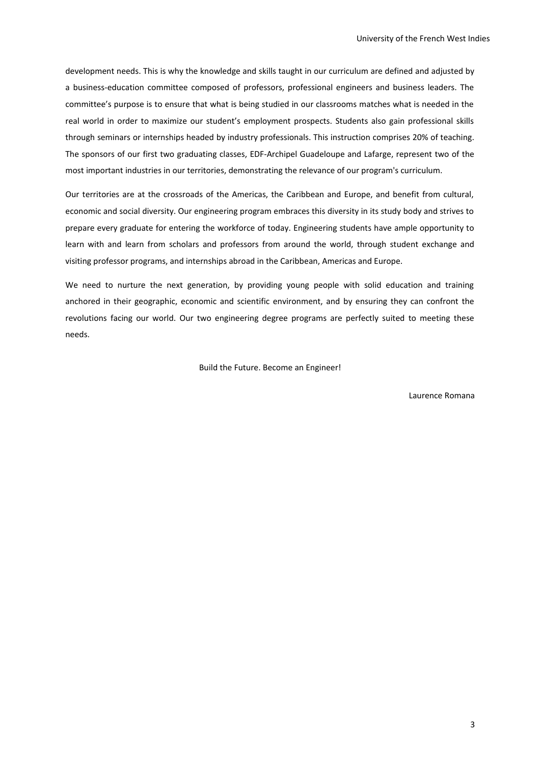development needs. This is why the knowledge and skills taught in our curriculum are defined and adjusted by a business-education committee composed of professors, professional engineers and business leaders. The committee's purpose is to ensure that what is being studied in our classrooms matches what is needed in the real world in order to maximize our student's employment prospects. Students also gain professional skills through seminars or internships headed by industry professionals. This instruction comprises 20% of teaching. The sponsors of our first two graduating classes, EDF-Archipel Guadeloupe and Lafarge, represent two of the most important industries in our territories, demonstrating the relevance of our program's curriculum.

Our territories are at the crossroads of the Americas, the Caribbean and Europe, and benefit from cultural, economic and social diversity. Our engineering program embraces this diversity in its study body and strives to prepare every graduate for entering the workforce of today. Engineering students have ample opportunity to learn with and learn from scholars and professors from around the world, through student exchange and visiting professor programs, and internships abroad in the Caribbean, Americas and Europe.

We need to nurture the next generation, by providing young people with solid education and training anchored in their geographic, economic and scientific environment, and by ensuring they can confront the revolutions facing our world. Our two engineering degree programs are perfectly suited to meeting these needs.

Build the Future. Become an Engineer!

Laurence Romana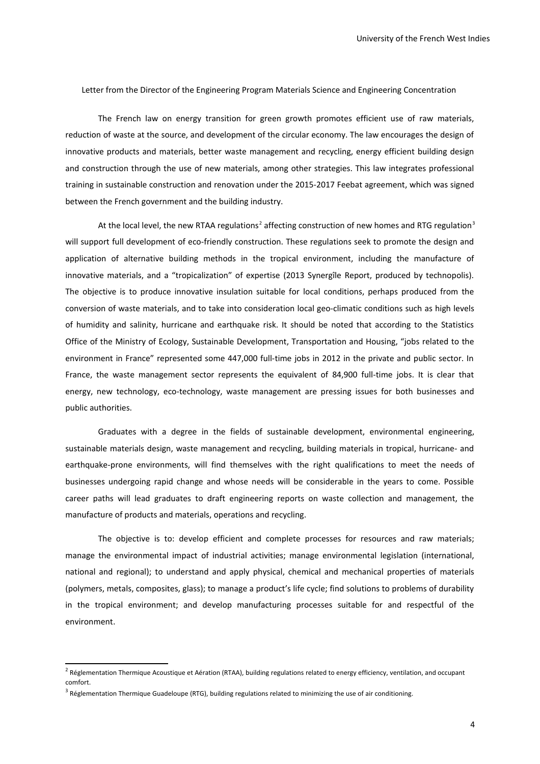Letter from the Director of the Engineering Program Materials Science and Engineering Concentration

The French law on energy transition for green growth promotes efficient use of raw materials, reduction of waste at the source, and development of the circular economy. The law encourages the design of innovative products and materials, better waste management and recycling, energy efficient building design and construction through the use of new materials, among other strategies. This law integrates professional training in sustainable construction and renovation under the 2015-2017 Feebat agreement, which was signed between the French government and the building industry.

At the local level, the new RTAA regulations<sup>[2](#page-3-0)</sup> affecting construction of new homes and RTG regulation<sup>[3](#page-3-1)</sup> will support full development of eco-friendly construction. These regulations seek to promote the design and application of alternative building methods in the tropical environment, including the manufacture of innovative materials, and a "tropicalization" of expertise (2013 Synergîle Report, produced by technopolis). The objective is to produce innovative insulation suitable for local conditions, perhaps produced from the conversion of waste materials, and to take into consideration local geo-climatic conditions such as high levels of humidity and salinity, hurricane and earthquake risk. It should be noted that according to the Statistics Office of the Ministry of Ecology, Sustainable Development, Transportation and Housing, "jobs related to the environment in France" represented some 447,000 full-time jobs in 2012 in the private and public sector. In France, the waste management sector represents the equivalent of 84,900 full-time jobs. It is clear that energy, new technology, eco-technology, waste management are pressing issues for both businesses and public authorities.

Graduates with a degree in the fields of sustainable development, environmental engineering, sustainable materials design, waste management and recycling, building materials in tropical, hurricane- and earthquake-prone environments, will find themselves with the right qualifications to meet the needs of businesses undergoing rapid change and whose needs will be considerable in the years to come. Possible career paths will lead graduates to draft engineering reports on waste collection and management, the manufacture of products and materials, operations and recycling.

The objective is to: develop efficient and complete processes for resources and raw materials; manage the environmental impact of industrial activities; manage environmental legislation (international, national and regional); to understand and apply physical, chemical and mechanical properties of materials (polymers, metals, composites, glass); to manage a product's life cycle; find solutions to problems of durability in the tropical environment; and develop manufacturing processes suitable for and respectful of the environment.

<span id="page-3-0"></span><sup>&</sup>lt;sup>2</sup> Réglementation Thermique Acoustique et Aération (RTAA), building regulations related to energy efficiency, ventilation, and occupant comfort.

<span id="page-3-1"></span><sup>&</sup>lt;sup>3</sup> Réglementation Thermique Guadeloupe (RTG), building regulations related to minimizing the use of air conditioning.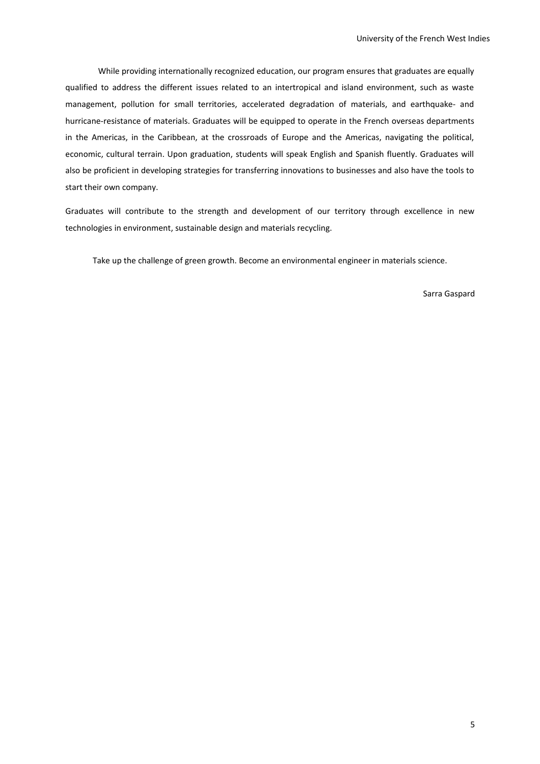While providing internationally recognized education, our program ensures that graduates are equally qualified to address the different issues related to an intertropical and island environment, such as waste management, pollution for small territories, accelerated degradation of materials, and earthquake- and hurricane-resistance of materials. Graduates will be equipped to operate in the French overseas departments in the Americas, in the Caribbean, at the crossroads of Europe and the Americas, navigating the political, economic, cultural terrain. Upon graduation, students will speak English and Spanish fluently. Graduates will also be proficient in developing strategies for transferring innovations to businesses and also have the tools to start their own company.

Graduates will contribute to the strength and development of our territory through excellence in new technologies in environment, sustainable design and materials recycling.

Take up the challenge of green growth. Become an environmental engineer in materials science.

Sarra Gaspard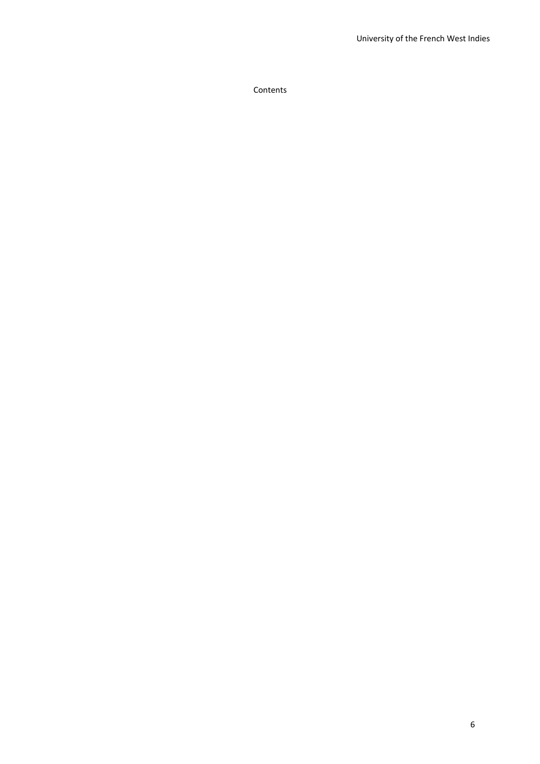Contents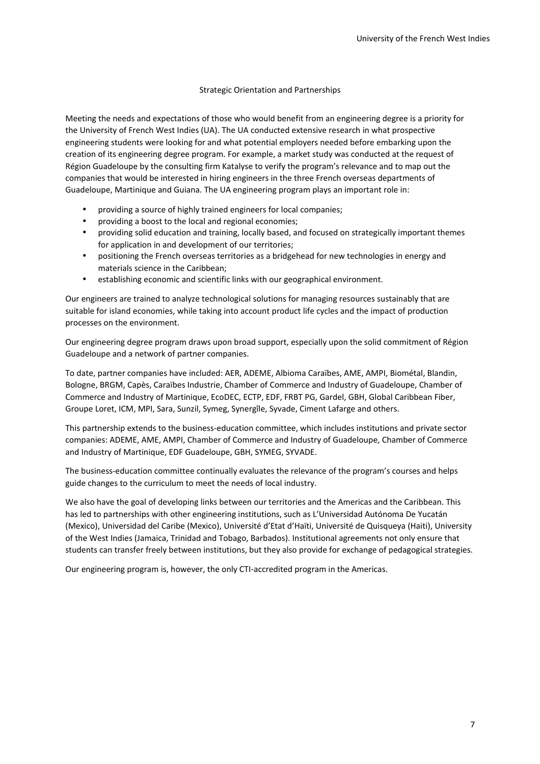# Strategic Orientation and Partnerships

Meeting the needs and expectations of those who would benefit from an engineering degree is a priority for the University of French West Indies (UA). The UA conducted extensive research in what prospective engineering students were looking for and what potential employers needed before embarking upon the creation of its engineering degree program. For example, a market study was conducted at the request of Région Guadeloupe by the consulting firm Katalyse to verify the program's relevance and to map out the companies that would be interested in hiring engineers in the three French overseas departments of Guadeloupe, Martinique and Guiana. The UA engineering program plays an important role in:

- providing a source of highly trained engineers for local companies;
- providing a boost to the local and regional economies;
- providing solid education and training, locally based, and focused on strategically important themes for application in and development of our territories;
- positioning the French overseas territories as a bridgehead for new technologies in energy and materials science in the Caribbean;
- establishing economic and scientific links with our geographical environment.

Our engineers are trained to analyze technological solutions for managing resources sustainably that are suitable for island economies, while taking into account product life cycles and the impact of production processes on the environment.

Our engineering degree program draws upon broad support, especially upon the solid commitment of Région Guadeloupe and a network of partner companies.

To date, partner companies have included: AER, ADEME, Albioma Caraïbes, AME, AMPI, Biométal, Blandin, Bologne, BRGM, Capès, Caraïbes Industrie, Chamber of Commerce and Industry of Guadeloupe, Chamber of Commerce and Industry of Martinique, EcoDEC, ECTP, EDF, FRBT PG, Gardel, GBH, Global Caribbean Fiber, Groupe Loret, ICM, MPI, Sara, Sunzil, Symeg, Synergîle, Syvade, Ciment Lafarge and others.

This partnership extends to the business-education committee, which includes institutions and private sector companies: ADEME, AME, AMPI, Chamber of Commerce and Industry of Guadeloupe, Chamber of Commerce and Industry of Martinique, EDF Guadeloupe, GBH, SYMEG, SYVADE.

The business-education committee continually evaluates the relevance of the program's courses and helps guide changes to the curriculum to meet the needs of local industry.

We also have the goal of developing links between our territories and the Americas and the Caribbean. This has led to partnerships with other engineering institutions, such as L'Universidad Autónoma De Yucatán (Mexico), Universidad del Caribe (Mexico), Université d'Etat d'Haïti, Université de Quisqueya (Haiti), University of the West Indies (Jamaica, Trinidad and Tobago, Barbados). Institutional agreements not only ensure that students can transfer freely between institutions, but they also provide for exchange of pedagogical strategies.

Our engineering program is, however, the only CTI-accredited program in the Americas.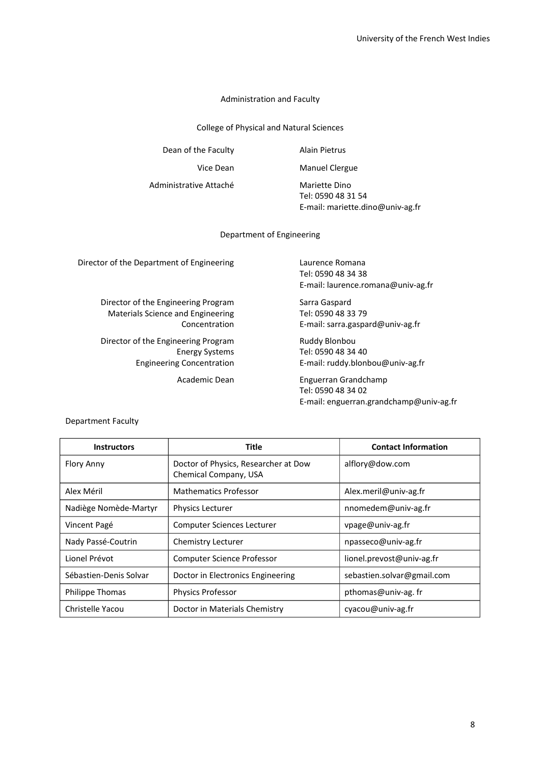### Administration and Faculty

College of Physical and Natural Sciences

Dean of the Faculty **Alain Pietrus** 

Vice Dean Manuel Clergue

Administrative Attaché Mariette Dino

Tel: 0590 48 31 54 E-mail: mariette.dino@univ-ag.fr

Department of Engineering

Director of the Department of Engineering Laurence Romana

Director of the Engineering Program Sarra Gaspard Materials Science and Engineering Tel: 0590 48 33 79

Director of the Engineering Program Ruddy Blonbou

Tel: 0590 48 34 38 E-mail: laurence.romana@univ-ag.fr

Concentration E-mail: sarra.gaspard@univ-ag.fr

Energy Systems Tel: 0590 48 34 40 Engineering Concentration E-mail: ruddy.blonbou@univ-ag.fr

> Academic Dean Enguerran Grandchamp Tel: 0590 48 34 02 E-mail: enguerran.grandchamp@univ-ag.fr

### Department Faculty

| <b>Instructors</b>     | <b>Title</b>                                                  | <b>Contact Information</b> |
|------------------------|---------------------------------------------------------------|----------------------------|
| <b>Flory Anny</b>      | Doctor of Physics, Researcher at Dow<br>Chemical Company, USA | alflory@dow.com            |
| Alex Méril             | <b>Mathematics Professor</b>                                  | Alex.meril@univ-ag.fr      |
| Nadiège Nomède-Martyr  | <b>Physics Lecturer</b>                                       | nnomedem@univ-ag.fr        |
| Vincent Pagé           | Computer Sciences Lecturer                                    | vpage@univ-ag.fr           |
| Nady Passé-Coutrin     | Chemistry Lecturer                                            | npasseco@univ-ag.fr        |
| Lionel Prévot          | <b>Computer Science Professor</b>                             | lionel.prevost@univ-ag.fr  |
| Sébastien-Denis Solvar | Doctor in Electronics Engineering                             | sebastien.solvar@gmail.com |
| <b>Philippe Thomas</b> | <b>Physics Professor</b>                                      | pthomas@univ-ag.fr         |
| Christelle Yacou       | Doctor in Materials Chemistry                                 | $cvacou@univ-ag.fr$        |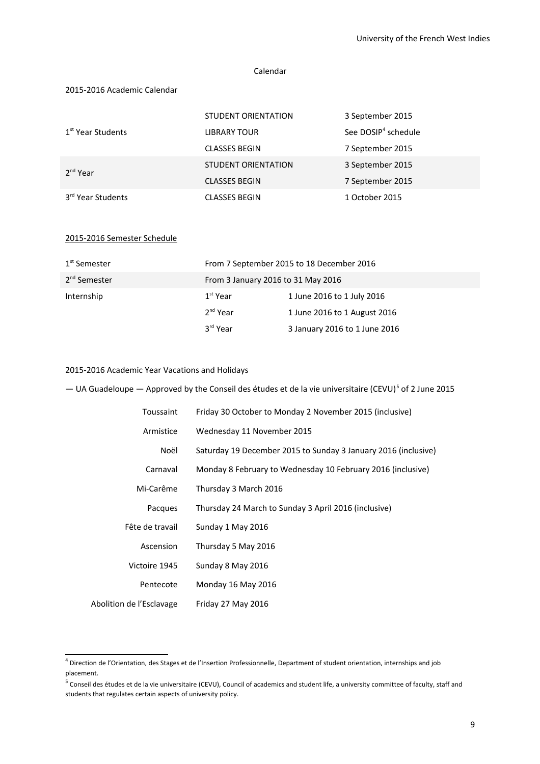### Calendar

### 2015-2016 Academic Calendar

|                               | <b>STUDENT ORIENTATION</b> | 3 September 2015                |
|-------------------------------|----------------------------|---------------------------------|
| 1 <sup>st</sup> Year Students | <b>LIBRARY TOUR</b>        | See DOSIP <sup>4</sup> schedule |
|                               | <b>CLASSES BEGIN</b>       | 7 September 2015                |
| 2 <sup>nd</sup> Year          | <b>STUDENT ORIENTATION</b> | 3 September 2015                |
|                               | <b>CLASSES BEGIN</b>       | 7 September 2015                |
| 3 <sup>rd</sup> Year Students | <b>CLASSES BEGIN</b>       | 1 October 2015                  |

# 2015-2016 Semester Schedule

| 1 <sup>st</sup> Semester |                      | From 7 September 2015 to 18 December 2016 |  |  |  |
|--------------------------|----------------------|-------------------------------------------|--|--|--|
| 2 <sup>nd</sup> Semester |                      | From 3 January 2016 to 31 May 2016        |  |  |  |
| Internship               | $1st$ Year           | 1 June 2016 to 1 July 2016                |  |  |  |
|                          | $2nd$ Year           | 1 June 2016 to 1 August 2016              |  |  |  |
|                          | 3 <sup>rd</sup> Year | 3 January 2016 to 1 June 2016             |  |  |  |

### 2015-2016 Academic Year Vacations and Holidays

 $-$  UA Guadeloupe  $-$  Approved by the Conseil des études et de la vie universitaire (CEVU)<sup>[5](#page-8-1)</sup> of 2 June 2015

| Toussaint                | Friday 30 October to Monday 2 November 2015 (inclusive)        |
|--------------------------|----------------------------------------------------------------|
| Armistice                | Wednesday 11 November 2015                                     |
| Noël                     | Saturday 19 December 2015 to Sunday 3 January 2016 (inclusive) |
| Carnaval                 | Monday 8 February to Wednesday 10 February 2016 (inclusive)    |
| Mi-Carême                | Thursday 3 March 2016                                          |
| Pacques                  | Thursday 24 March to Sunday 3 April 2016 (inclusive)           |
| Fête de travail          | Sunday 1 May 2016                                              |
| Ascension                | Thursday 5 May 2016                                            |
| Victoire 1945            | Sunday 8 May 2016                                              |
| Pentecote                | Monday 16 May 2016                                             |
| Abolition de l'Esclavage | Friday 27 May 2016                                             |

<span id="page-8-0"></span><sup>&</sup>lt;sup>4</sup> Direction de l'Orientation, des Stages et de l'Insertion Professionnelle, Department of student orientation, internships and job placement.

<span id="page-8-1"></span> $^5$  Conseil des études et de la vie universitaire (CEVU), Council of academics and student life, a university committee of faculty, staff and students that regulates certain aspects of university policy.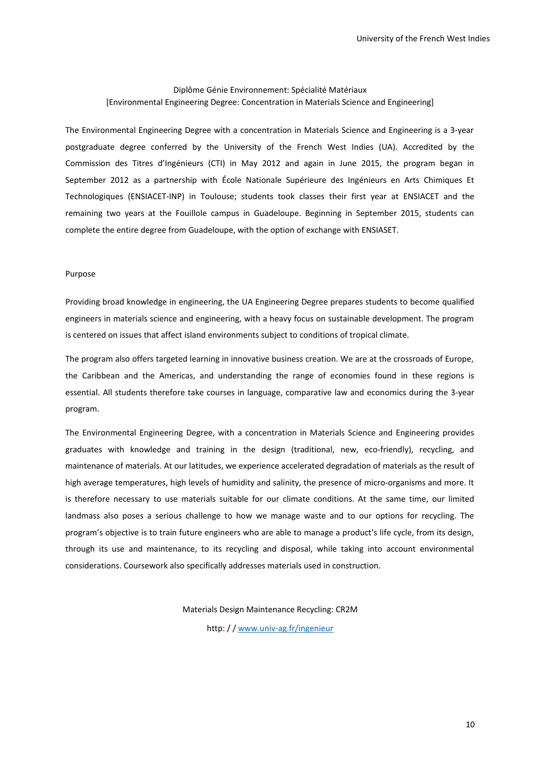### Diplôme Génie Environnement: Spécialité Matériaux [Environmental Engineering Degree: Concentration in Materials Science and Engineering]

The Environmental Engineering Degree with a concentration in Materials Science and Engineering is a 3-year postgraduate degree conferred by the University of the French West Indies (UA). Accredited by the Commission des Titres d'Ingénieurs (CTI) in May 2012 and again in June 2015, the program began in September 2012 as a partnership with École Nationale Supérieure des Ingénieurs en Arts Chimiques Et Technologiques (ENSIACET-INP) in Toulouse; students took classes their first year at ENSIACET and the remaining two years at the Fouillole campus in Guadeloupe. Beginning in September 2015, students can complete the entire degree from Guadeloupe, with the option of exchange with ENSIASET.

#### Purpose

Providing broad knowledge in engineering, the UA Engineering Degree prepares students to become qualified engineers in materials science and engineering, with a heavy focus on sustainable development. The program is centered on issues that affect island environments subject to conditions of tropical climate.

The program also offers targeted learning in innovative business creation. We are at the crossroads of Europe, the Caribbean and the Americas, and understanding the range of economies found in these regions is essential. All students therefore take courses in language, comparative law and economics during the 3-year program.

The Environmental Engineering Degree, with a concentration in Materials Science and Engineering provides graduates with knowledge and training in the design (traditional, new, eco-friendly), recycling, and maintenance of materials. At our latitudes, we experience accelerated degradation of materials as the result of high average temperatures, high levels of humidity and salinity, the presence of micro-organisms and more. It is therefore necessary to use materials suitable for our climate conditions. At the same time, our limited landmass also poses a serious challenge to how we manage waste and to our options for recycling. The program's objective is to train future engineers who are able to manage a product's life cycle, from its design, through its use and maintenance, to its recycling and disposal, while taking into account environmental considerations. Coursework also specifically addresses materials used in construction.

Materials Design Maintenance Recycling: CR2M

http: / / [www.univ-ag.fr/ingenieur](http://www.univ-ag.fr/ingenieur)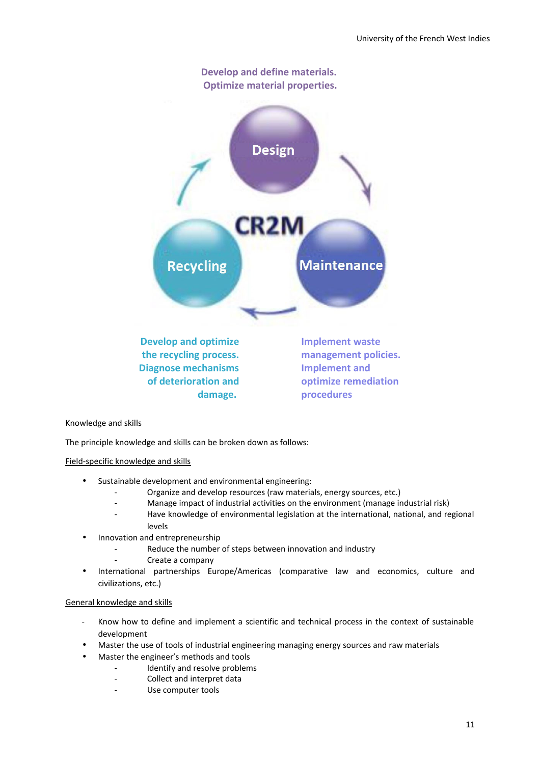

# Knowledge and skills

The principle knowledge and skills can be broken down as follows:

### Field-specific knowledge and skills

- Sustainable development and environmental engineering:
	- Organize and develop resources (raw materials, energy sources, etc.)
	- Manage impact of industrial activities on the environment (manage industrial risk)
	- Have knowledge of environmental legislation at the international, national, and regional levels
	- Innovation and entrepreneurship
		- Reduce the number of steps between innovation and industry
			- Create a company
- International partnerships Europe/Americas (comparative law and economics, culture and civilizations, etc.)

### General knowledge and skills

- Know how to define and implement a scientific and technical process in the context of sustainable development
- Master the use of tools of industrial engineering managing energy sources and raw materials
- Master the engineer's methods and tools
	- Identify and resolve problems
	- Collect and interpret data
	- Use computer tools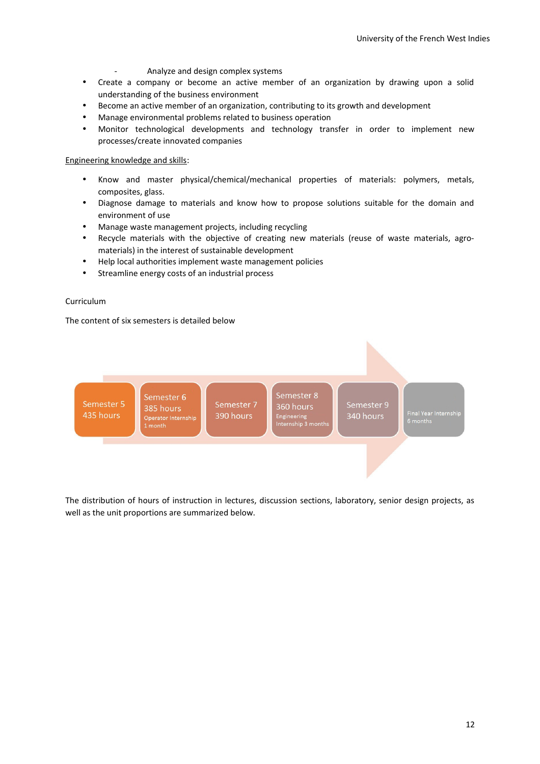- Analyze and design complex systems
- Create a company or become an active member of an organization by drawing upon a solid understanding of the business environment
- Become an active member of an organization, contributing to its growth and development
- Manage environmental problems related to business operation
- Monitor technological developments and technology transfer in order to implement new processes/create innovated companies

# Engineering knowledge and skills:

- Know and master physical/chemical/mechanical properties of materials: polymers, metals, composites, glass.
- Diagnose damage to materials and know how to propose solutions suitable for the domain and environment of use
- Manage waste management projects, including recycling
- Recycle materials with the objective of creating new materials (reuse of waste materials, agromaterials) in the interest of sustainable development
- Help local authorities implement waste management policies
- Streamline energy costs of an industrial process

# Curriculum

The content of six semesters is detailed below



The distribution of hours of instruction in lectures, discussion sections, laboratory, senior design projects, as well as the unit proportions are summarized below.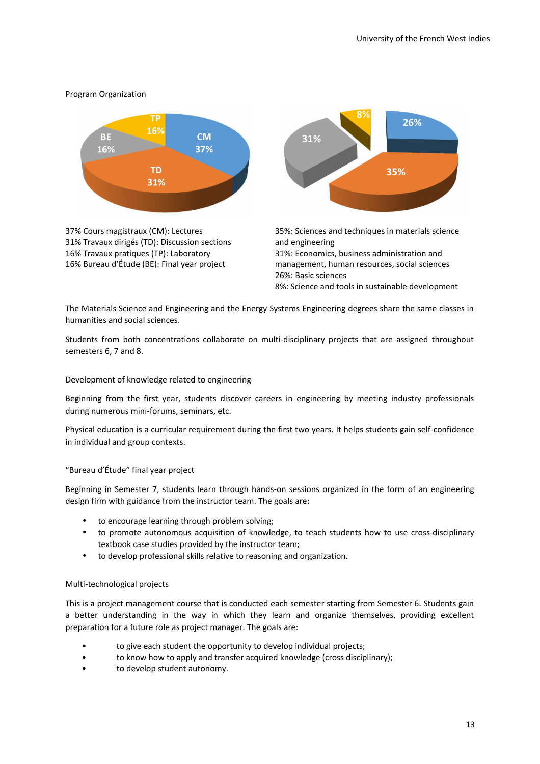## Program Organization



37% Cours magistraux (CM): Lectures 31% Travaux dirigés (TD): Discussion sections 16% Travaux pratiques (TP): Laboratory 16% Bureau d'Étude (BE): Final year project



35%: Sciences and techniques in materials science and engineering 31%: Economics, business administration and management, human resources, social sciences 26%: Basic sciences

8%: Science and tools in sustainable development

The Materials Science and Engineering and the Energy Systems Engineering degrees share the same classes in humanities and social sciences.

Students from both concentrations collaborate on multi-disciplinary projects that are assigned throughout semesters 6, 7 and 8.

### Development of knowledge related to engineering

Beginning from the first year, students discover careers in engineering by meeting industry professionals during numerous mini-forums, seminars, etc.

Physical education is a curricular requirement during the first two years. It helps students gain self-confidence in individual and group contexts.

### "Bureau d'Étude" final year project

Beginning in Semester 7, students learn through hands-on sessions organized in the form of an engineering design firm with guidance from the instructor team. The goals are:

- to encourage learning through problem solving;
- to promote autonomous acquisition of knowledge, to teach students how to use cross-disciplinary textbook case studies provided by the instructor team;
- to develop professional skills relative to reasoning and organization.

### Multi-technological projects

This is a project management course that is conducted each semester starting from Semester 6. Students gain a better understanding in the way in which they learn and organize themselves, providing excellent preparation for a future role as project manager. The goals are:

- to give each student the opportunity to develop individual projects;
- to know how to apply and transfer acquired knowledge (cross disciplinary);
- to develop student autonomy.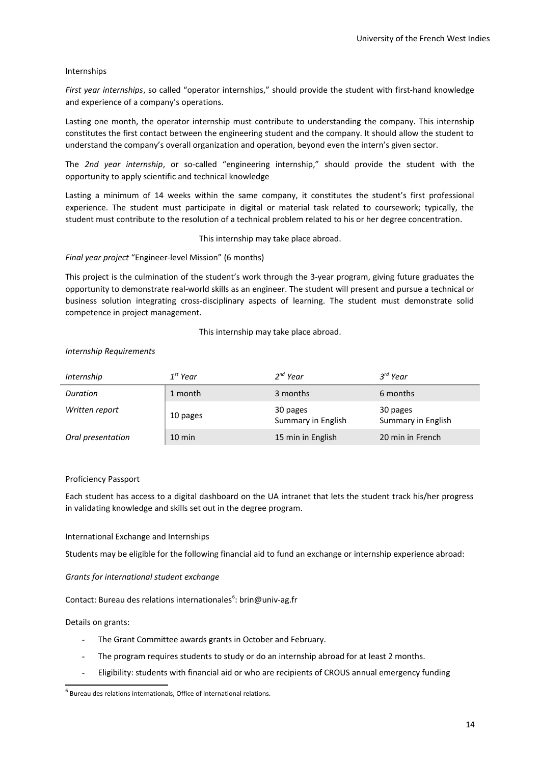# Internships

*First year internships*, so called "operator internships," should provide the student with first-hand knowledge and experience of a company's operations.

Lasting one month, the operator internship must contribute to understanding the company. This internship constitutes the first contact between the engineering student and the company. It should allow the student to understand the company's overall organization and operation, beyond even the intern's given sector.

The *2nd year internship*, or so-called "engineering internship," should provide the student with the opportunity to apply scientific and technical knowledge

Lasting a minimum of 14 weeks within the same company, it constitutes the student's first professional experience. The student must participate in digital or material task related to coursework; typically, the student must contribute to the resolution of a technical problem related to his or her degree concentration.

This internship may take place abroad.

### *Final year project* "Engineer-level Mission" (6 months)

This project is the culmination of the student's work through the 3-year program, giving future graduates the opportunity to demonstrate real-world skills as an engineer. The student will present and pursue a technical or business solution integrating cross-disciplinary aspects of learning. The student must demonstrate solid competence in project management.

This internship may take place abroad.

# *Internship Requirements*

| Internship        | $1^{st}$ Year    | $2^{nd}$ Year                  | $3^{rd}$ Year                  |
|-------------------|------------------|--------------------------------|--------------------------------|
| Duration          | 1 month          | 3 months                       | 6 months                       |
| Written report    | 10 pages         | 30 pages<br>Summary in English | 30 pages<br>Summary in English |
| Oral presentation | $10 \text{ min}$ | 15 min in English              | 20 min in French               |

### Proficiency Passport

Each student has access to a digital dashboard on the UA intranet that lets the student track his/her progress in validating knowledge and skills set out in the degree program.

# International Exchange and Internships

Students may be eligible for the following financial aid to fund an exchange or internship experience abroad:

# *Grants for international student exchange*

Contact: Bureau des relations internationales<sup>[6](#page-13-0)</sup>: brin@univ-ag.fr

# Details on grants:

- The Grant Committee awards grants in October and February.
- The program requires students to study or do an internship abroad for at least 2 months.
- Eligibility: students with financial aid or who are recipients of CROUS annual emergency funding

<span id="page-13-0"></span> $<sup>6</sup>$  Bureau des relations internationals, Office of international relations.</sup>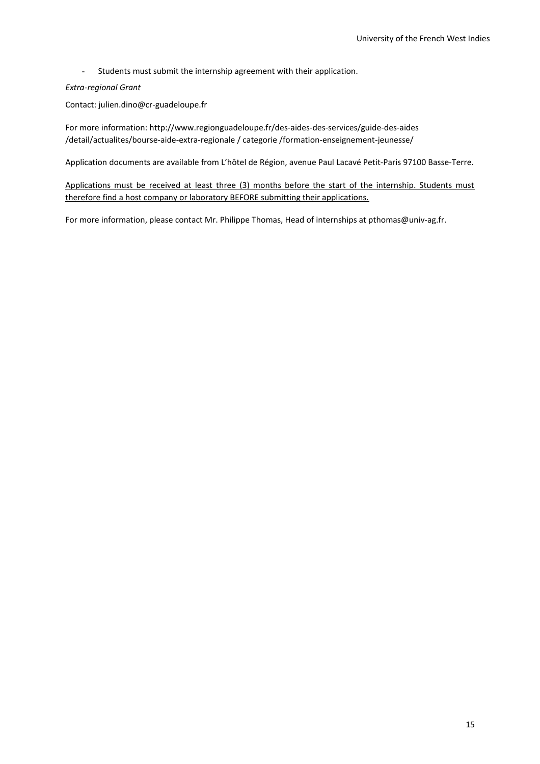- Students must submit the internship agreement with their application.

# *Extra-regional Grant*

Contact: julien.dino@cr-guadeloupe.fr

For more information: http://www.regionguadeloupe.fr/des-aides-des-services/guide-des-aides /detail/actualites/bourse-aide-extra-regionale / categorie /formation-enseignement-jeunesse/

Application documents are available from L'hôtel de Région, avenue Paul Lacavé Petit-Paris 97100 Basse-Terre.

Applications must be received at least three (3) months before the start of the internship. Students must therefore find a host company or laboratory BEFORE submitting their applications.

For more information, please contact Mr. Philippe Thomas, Head of internships at pthomas@univ-ag.fr.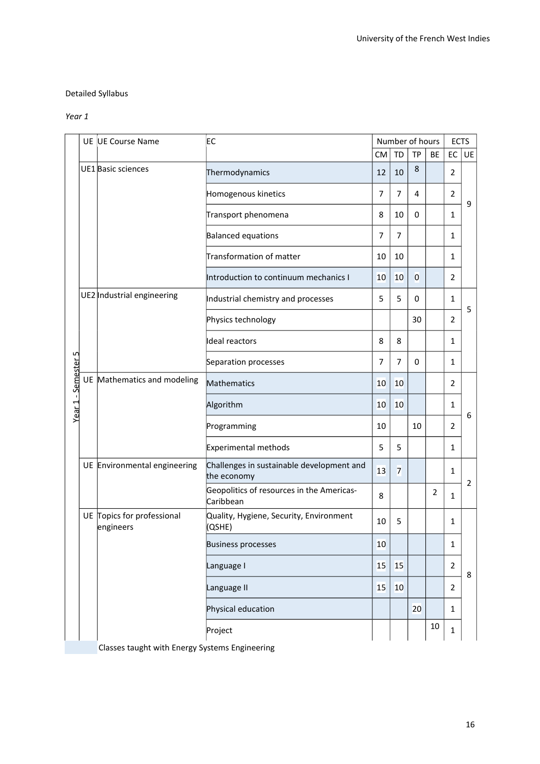# Detailed Syllabus

# *Year 1*

|                     |  | UE UE Course Name                              | EC                                                       |           |                | Number of hours |                   | <b>ECTS</b>    |                |  |
|---------------------|--|------------------------------------------------|----------------------------------------------------------|-----------|----------------|-----------------|-------------------|----------------|----------------|--|
|                     |  |                                                |                                                          | <b>CM</b> | <b>TD</b>      | <b>TP</b>       | <b>BE</b>         | EC             | <b>UE</b>      |  |
|                     |  | UE1 Basic sciences                             | Thermodynamics                                           | 12        | 10             | 8               |                   | $\overline{2}$ |                |  |
|                     |  |                                                | Homogenous kinetics                                      | 7         | $\overline{7}$ | 4               |                   | $\overline{2}$ |                |  |
|                     |  |                                                | Transport phenomena                                      | 8         | 10             | 0               |                   | 1              | 9              |  |
|                     |  |                                                | <b>Balanced equations</b>                                | 7         | $\overline{7}$ |                 |                   | $\mathbf{1}$   |                |  |
|                     |  |                                                | Transformation of matter                                 | 10        | 10             |                 |                   | $\mathbf{1}$   |                |  |
|                     |  |                                                | Introduction to continuum mechanics I                    | 10        | 10             | $\overline{0}$  |                   | 2              |                |  |
|                     |  | UE2 Industrial engineering                     | Industrial chemistry and processes                       | 5         | 5              | 0               |                   | $\mathbf{1}$   |                |  |
|                     |  |                                                | Physics technology                                       |           |                | 30              |                   | $\overline{2}$ | 5              |  |
|                     |  |                                                | Ideal reactors                                           | 8         | 8              |                 |                   | 1              |                |  |
|                     |  |                                                | Separation processes                                     | 7         | $\overline{7}$ | 0               |                   | 1              |                |  |
|                     |  | UE Mathematics and modeling                    | Mathematics                                              | 10        | 10             |                 |                   | $\overline{2}$ |                |  |
| Year 1 - Semester 5 |  |                                                | Algorithm                                                | 10        | 10             |                 |                   | $\mathbf{1}$   |                |  |
|                     |  |                                                | Programming                                              | 10        |                | 10              |                   | 2              | 6              |  |
|                     |  |                                                | Experimental methods                                     | 5         | 5              |                 |                   | $\mathbf{1}$   |                |  |
|                     |  | UE Environmental engineering                   | Challenges in sustainable development and<br>the economy | 13        | 7              |                 |                   | 1              |                |  |
|                     |  |                                                | Geopolitics of resources in the Americas-<br>Caribbean   | 8         |                |                 | $\overline{2}$    | $\mathbf{1}$   | $\overline{2}$ |  |
|                     |  | UE Topics for professional<br>engineers        | Quality, Hygiene, Security, Environment<br>(QSHE)        | 10        | 5              |                 |                   | $\mathbf{1}$   |                |  |
|                     |  |                                                | <b>Business processes</b>                                | 10        |                |                 |                   | 1              |                |  |
|                     |  |                                                | Language I                                               | 15        | 15             |                 |                   | $\mathbf 2$    | 8              |  |
|                     |  |                                                | Language II                                              | 15        | 10             |                 |                   | $\overline{2}$ |                |  |
|                     |  |                                                | Physical education                                       |           |                | 20              |                   | $\mathbf{1}$   |                |  |
|                     |  |                                                | Project                                                  |           |                |                 | 10<br>$\mathbf 1$ |                |                |  |
|                     |  | Classes taught with Energy Systems Engineering |                                                          |           |                |                 |                   |                |                |  |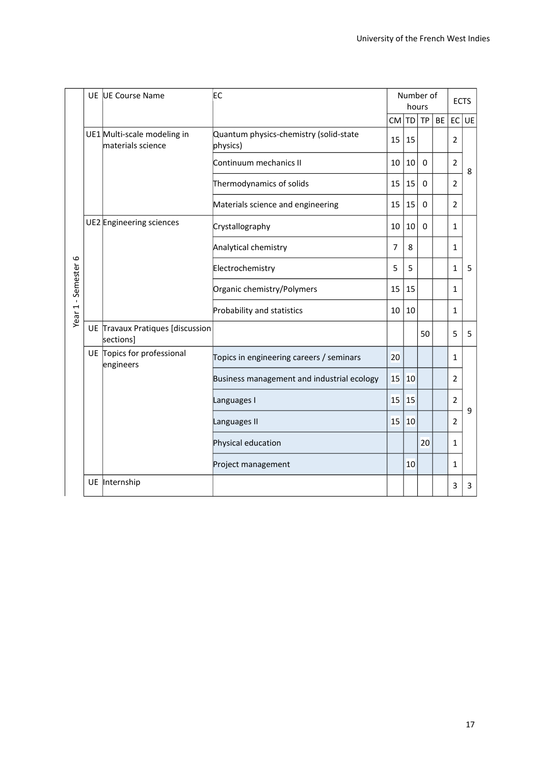|                     |  | UE UE Course Name                                | EC                                                 |        | Number of<br>hours | <b>ECTS</b>  |    |                |    |
|---------------------|--|--------------------------------------------------|----------------------------------------------------|--------|--------------------|--------------|----|----------------|----|
|                     |  |                                                  |                                                    | CM  TD |                    | <b>TP</b>    | BE | EC             | UE |
|                     |  | UE1 Multi-scale modeling in<br>materials science | Quantum physics-chemistry (solid-state<br>physics) | 15     | 15                 |              |    | $\overline{2}$ |    |
|                     |  |                                                  | Continuum mechanics II                             | 10     | 10                 | $\mathbf{0}$ |    | $\overline{2}$ | 8  |
|                     |  |                                                  | Thermodynamics of solids                           | 15     | 15                 | $\Omega$     |    | $\overline{2}$ |    |
|                     |  |                                                  | Materials science and engineering                  | 15     | 15                 | 0            |    | $\overline{2}$ |    |
|                     |  | UE2 Engineering sciences                         | Crystallography                                    | 10     | 10                 | 0            |    | 1              |    |
|                     |  |                                                  | Analytical chemistry                               | 7      | 8                  |              |    | 1              |    |
|                     |  |                                                  | Electrochemistry                                   | 5      | 5                  |              |    | $\mathbf{1}$   | 5  |
|                     |  |                                                  | Organic chemistry/Polymers                         | 15     | 15                 |              |    | 1              |    |
| Year 1 - Semester 6 |  |                                                  | Probability and statistics                         | 10     | 10                 |              |    | $\mathbf{1}$   |    |
|                     |  | UE Travaux Pratiques [discussion<br>sections]    |                                                    |        |                    | 50           |    | 5              | 5  |
|                     |  | UE Topics for professional<br>engineers          | Topics in engineering careers / seminars           | 20     |                    |              |    | 1              |    |
|                     |  |                                                  | Business management and industrial ecology         | 15     | 10                 |              |    | 2              |    |
|                     |  |                                                  | Languages I                                        | 15     | 15                 |              |    | $\overline{2}$ | 9  |
|                     |  |                                                  | Languages II                                       | 15     | 10                 |              |    | $\overline{2}$ |    |
|                     |  |                                                  | Physical education                                 |        |                    | 20           |    | $\mathbf{1}$   |    |
|                     |  |                                                  | Project management                                 |        | 10                 |              |    | $\mathbf{1}$   |    |
|                     |  | UE Internship                                    |                                                    |        |                    |              |    | 3              | 3  |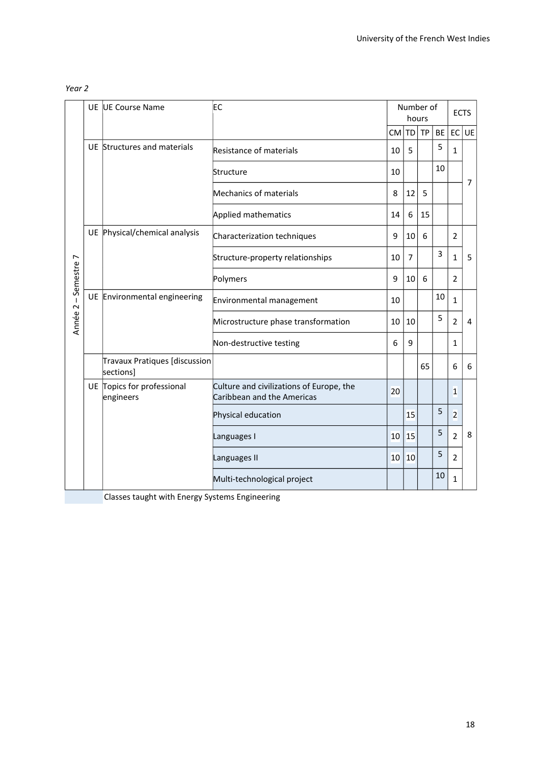# *Year 2*

|                      |  | UE UE Course Name                          | EC                                                                     |    | Number of<br>hours |           |           | <b>ECTS</b>     |                |
|----------------------|--|--------------------------------------------|------------------------------------------------------------------------|----|--------------------|-----------|-----------|-----------------|----------------|
|                      |  |                                            |                                                                        | CM | <b>TD</b>          | <b>TP</b> | <b>BE</b> | EC <sup>1</sup> | UE             |
|                      |  | UE Structures and materials                | Resistance of materials                                                | 10 | 5                  |           | 5         | $\mathbf{1}$    |                |
|                      |  |                                            | Structure                                                              | 10 |                    |           | 10        |                 | $\overline{7}$ |
|                      |  |                                            | Mechanics of materials                                                 | 8  | 12                 | 5         |           |                 |                |
|                      |  |                                            | Applied mathematics                                                    | 14 | 6                  | 15        |           |                 |                |
|                      |  | UE Physical/chemical analysis              | Characterization techniques                                            | 9  | 10                 | 6         |           | $\overline{2}$  |                |
|                      |  |                                            | Structure-property relationships                                       | 10 | $\overline{7}$     |           | 3         | $\mathbf{1}$    | 5              |
|                      |  |                                            | Polymers                                                               | 9  | 10                 | 6         |           | $\overline{2}$  |                |
|                      |  | UE Environmental engineering               | Environmental management                                               | 10 |                    |           | 10        | $\mathbf{1}$    | 4              |
| Année 2 - Semestre 7 |  |                                            | Microstructure phase transformation                                    | 10 | 10                 |           | 5         | $\overline{2}$  |                |
|                      |  |                                            | Non-destructive testing                                                | 6  | 9                  |           |           | 1               |                |
|                      |  | Travaux Pratiques [discussion<br>sections] |                                                                        |    |                    | 65        |           | 6               | 6              |
|                      |  | UE Topics for professional<br>engineers    | Culture and civilizations of Europe, the<br>Caribbean and the Americas | 20 |                    |           |           | $\mathbf{1}$    |                |
|                      |  |                                            | Physical education                                                     |    | 15                 |           | 5         | $\overline{2}$  |                |
|                      |  |                                            | Languages I                                                            | 10 | 15                 |           | 5         | $\overline{2}$  | 8              |
|                      |  |                                            | Languages II                                                           | 10 | 10                 |           | 5         | $\overline{2}$  |                |
|                      |  |                                            | Multi-technological project                                            |    |                    |           | 10        | $\mathbf{1}$    |                |

Classes taught with Energy Systems Engineering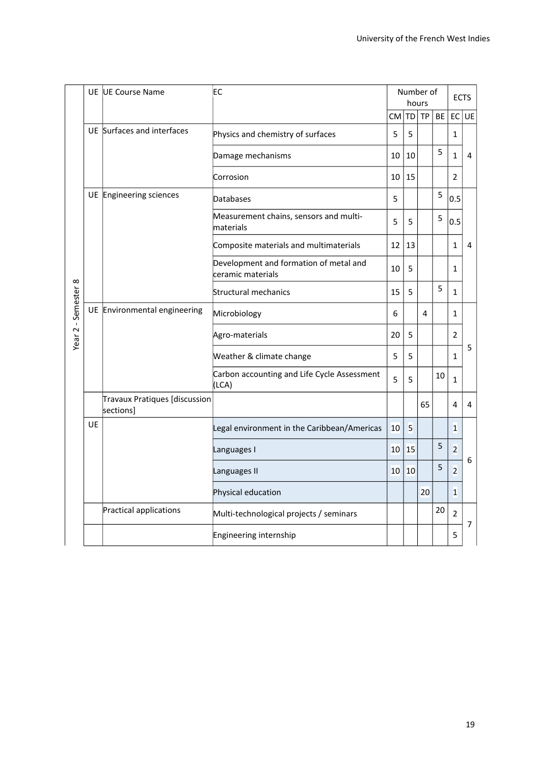|                     |    | UE UE Course Name                                 | EC                                                          | Number of | <b>ECTS</b> |           |    |                |                |
|---------------------|----|---------------------------------------------------|-------------------------------------------------------------|-----------|-------------|-----------|----|----------------|----------------|
|                     |    |                                                   |                                                             | CM TD     |             | <b>TP</b> | BE | EC             | UE             |
|                     |    | UE Surfaces and interfaces                        | Physics and chemistry of surfaces                           | 5         | 5           |           |    | 1              |                |
|                     |    |                                                   | Damage mechanisms                                           | 10        | 10          |           | 5  | 1              | 4              |
|                     |    |                                                   | Corrosion                                                   | 10        | 15          |           |    | $\overline{2}$ |                |
|                     |    | UE Engineering sciences                           | Databases                                                   | 5         |             |           | 5  | 0.5            |                |
|                     |    |                                                   | Measurement chains, sensors and multi-<br>materials         | 5         | 5           |           | 5  | 0.5            |                |
|                     |    |                                                   | Composite materials and multimaterials                      | 12        | 13          |           |    | $\mathbf{1}$   | 4              |
|                     |    |                                                   | Development and formation of metal and<br>ceramic materials | 10        | 5           |           |    | 1              |                |
|                     |    |                                                   | Structural mechanics                                        | 15        | 5           |           | 5  | $\mathbf{1}$   |                |
| Year 2 - Semester 8 |    | UE Environmental engineering                      | Microbiology                                                | 6         |             | 4         |    | 1              |                |
|                     |    |                                                   | Agro-materials                                              | 20        | 5           |           |    | $\overline{2}$ |                |
|                     |    |                                                   | Weather & climate change                                    | 5         | 5           |           |    | 1              | 5              |
|                     |    |                                                   | Carbon accounting and Life Cycle Assessment<br>(LCA)        | 5         | 5           |           | 10 | $\mathbf{1}$   |                |
|                     |    | <b>Travaux Pratiques [discussion</b><br>sections] |                                                             |           |             | 65        |    | 4              | 4              |
|                     | UE |                                                   | Legal environment in the Caribbean/Americas                 | 10        | 5           |           |    | $\mathbf{1}$   |                |
|                     |    |                                                   | Languages I                                                 | 10        | 15          |           | 5  | $\overline{2}$ |                |
|                     |    |                                                   | Languages II                                                | 10        | 10          |           | 5  | 2              | 6              |
|                     |    |                                                   | Physical education                                          |           |             | 20        |    | $\mathbf{1}$   |                |
|                     |    | Practical applications                            | Multi-technological projects / seminars                     |           |             |           | 20 | $\overline{2}$ | $\overline{7}$ |
|                     |    |                                                   | Engineering internship                                      |           |             |           |    | 5              |                |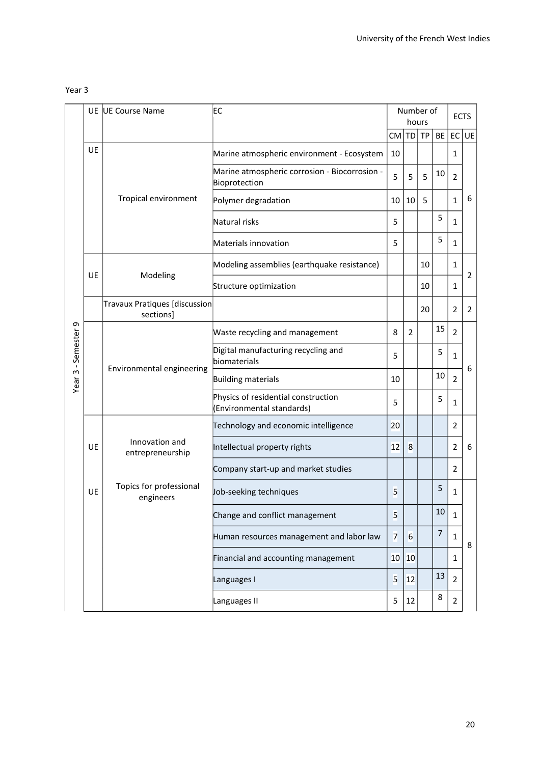| . .<br>×<br>×<br>۰, | w<br>۰, |
|---------------------|---------|
|---------------------|---------|

|                     |           | UE UE Course Name                                 | EC                                                               |                | Number of<br>hours | <b>ECTS</b> |    |                |                |
|---------------------|-----------|---------------------------------------------------|------------------------------------------------------------------|----------------|--------------------|-------------|----|----------------|----------------|
|                     |           |                                                   |                                                                  | CM  TD   TP    |                    |             | BE | EC             | UE             |
|                     | UE        |                                                   | Marine atmospheric environment - Ecosystem                       | 10             |                    |             |    | 1              |                |
|                     |           |                                                   | Marine atmospheric corrosion - Biocorrosion -<br>Bioprotection   | 5              | 5                  | 5           | 10 | $\overline{2}$ |                |
|                     |           | Tropical environment                              | Polymer degradation                                              | 10             | 10                 | 5           |    | $\mathbf{1}$   | 6              |
|                     |           |                                                   | Natural risks                                                    | 5              |                    |             | 5  | 1              |                |
|                     |           |                                                   | Materials innovation                                             | 5              |                    |             | 5  | 1              |                |
|                     | UE        |                                                   | Modeling assemblies (earthquake resistance)                      |                |                    | 10          |    | 1              | $\overline{2}$ |
|                     |           | Modeling                                          | Structure optimization                                           |                |                    | 10          |    | 1              |                |
|                     |           | <b>Travaux Pratiques [discussion</b><br>sections] |                                                                  |                |                    | 20          |    | $\overline{2}$ | 2              |
|                     |           |                                                   | Waste recycling and management                                   | 8              | $\overline{2}$     |             | 15 | $\overline{2}$ |                |
| -Semester 9         |           |                                                   | Digital manufacturing recycling and<br>biomaterials              | 5              |                    |             | 5  | $\mathbf{1}$   | 6              |
| $\tilde{ }$<br>Year |           | Environmental engineering                         | <b>Building materials</b>                                        | 10             |                    |             | 10 | $\overline{2}$ |                |
|                     |           |                                                   | Physics of residential construction<br>(Environmental standards) | 5              |                    |             | 5  | 1              |                |
|                     |           |                                                   | Technology and economic intelligence                             | 20             |                    |             |    | $\overline{2}$ |                |
|                     | <b>UE</b> | Innovation and<br>entrepreneurship                | Intellectual property rights                                     | 12             | 8                  |             |    | $\overline{2}$ | 6              |
|                     |           |                                                   | Company start-up and market studies                              |                |                    |             |    | 2              |                |
|                     | UE        | Topics for professional<br>engineers              | Job-seeking techniques                                           | 5              |                    |             | 5  | 1              |                |
|                     |           |                                                   | Change and conflict management                                   | 5              |                    |             | 10 | 1              |                |
|                     |           |                                                   | Human resources management and labor law                         | $\overline{7}$ | 6                  |             | 7  | $\mathbf{1}$   | 8              |
|                     |           |                                                   | Financial and accounting management                              | 10             | 10                 |             |    | 1              |                |
|                     |           |                                                   | Languages I                                                      | 5              | 12                 |             | 13 | $\overline{2}$ |                |
|                     |           |                                                   | Languages II                                                     | 5              | 12                 |             | 8  | $\overline{2}$ |                |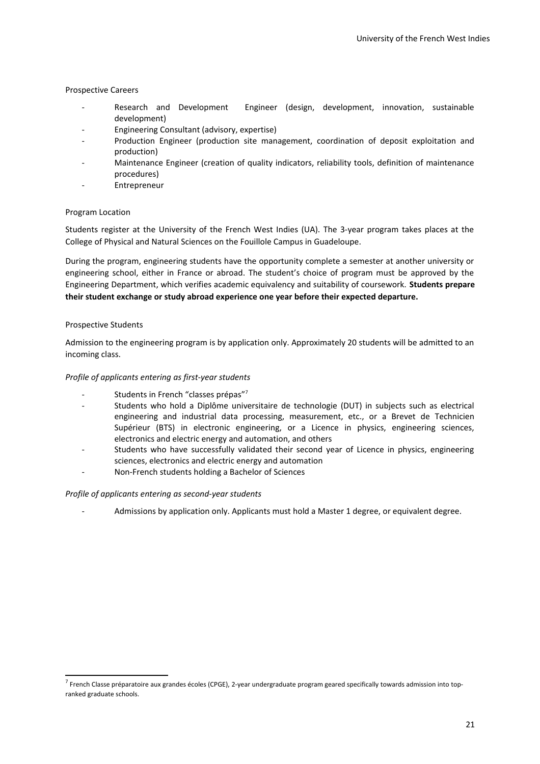# Prospective Careers

- Research and Development Engineer (design, development, innovation, sustainable development)
- Engineering Consultant (advisory, expertise)
- Production Engineer (production site management, coordination of deposit exploitation and production)
- Maintenance Engineer (creation of quality indicators, reliability tools, definition of maintenance procedures)
- Entrepreneur

# Program Location

Students register at the University of the French West Indies (UA). The 3-year program takes places at the College of Physical and Natural Sciences on the Fouillole Campus in Guadeloupe.

During the program, engineering students have the opportunity complete a semester at another university or engineering school, either in France or abroad. The student's choice of program must be approved by the Engineering Department, which verifies academic equivalency and suitability of coursework. **Students prepare their student exchange or study abroad experience one year before their expected departure.**

# Prospective Students

Admission to the engineering program is by application only. Approximately 20 students will be admitted to an incoming class.

# *Profile of applicants entering as first-year students*

- Students in French "classes prépas"[7](#page-20-0)
- Students who hold a Diplôme universitaire de technologie (DUT) in subjects such as electrical engineering and industrial data processing, measurement, etc., or a Brevet de Technicien Supérieur (BTS) in electronic engineering, or a Licence in physics, engineering sciences, electronics and electric energy and automation, and others
- Students who have successfully validated their second year of Licence in physics, engineering sciences, electronics and electric energy and automation
- Non-French students holding a Bachelor of Sciences

# *Profile of applicants entering as second-year students*

- Admissions by application only. Applicants must hold a Master 1 degree, or equivalent degree.

<span id="page-20-0"></span><sup>&</sup>lt;sup>7</sup> French Classe préparatoire aux grandes écoles (CPGE), 2-year undergraduate program geared specifically towards admission into topranked graduate schools.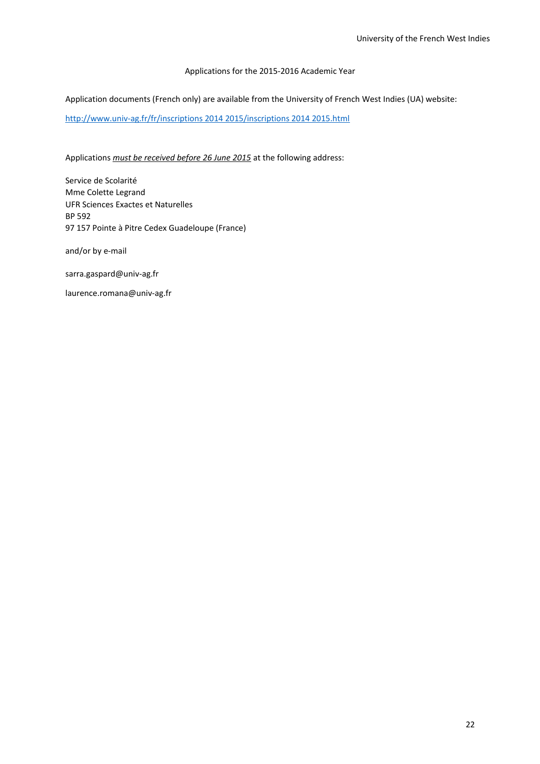# Applications for the 2015-2016 Academic Year

Application documents (French only) are available from the University of French West Indies (UA) website:

[http://www.univ-ag.fr/fr/inscriptions 2014 2015/inscriptions 2014 2015.html](http://www.univ-ag.fr/fr/inscriptions%202014%202015/inscriptions%202014%202015.html)

# Applications *must be received before 26 June 2015* at the following address:

Service de Scolarité Mme Colette Legrand UFR Sciences Exactes et Naturelles BP 592 97 157 Pointe à Pitre Cedex Guadeloupe (France)

and/or by e-mail

sarra.gaspard@univ-ag.fr

laurence.romana@univ-ag.fr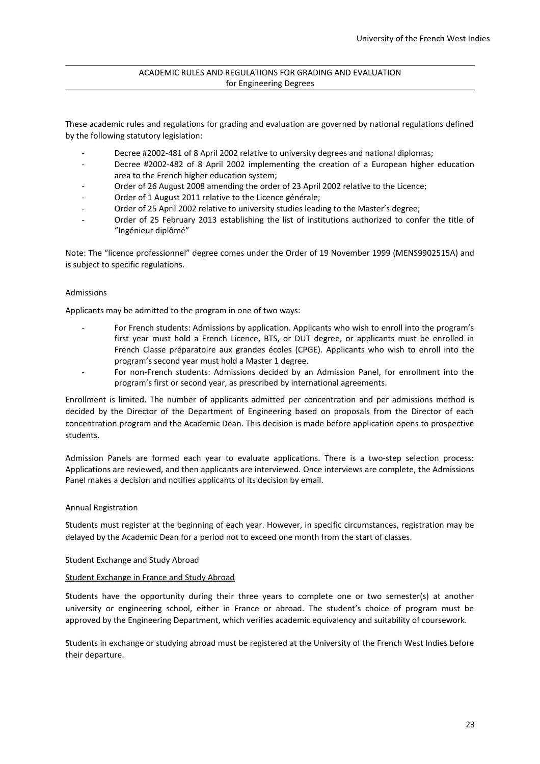# ACADEMIC RULES AND REGULATIONS FOR GRADING AND EVALUATION for Engineering Degrees

These academic rules and regulations for grading and evaluation are governed by national regulations defined by the following statutory legislation:

- Decree #2002-481 of 8 April 2002 relative to university degrees and national diplomas;
- Decree #2002-482 of 8 April 2002 implementing the creation of a European higher education area to the French higher education system;
- Order of 26 August 2008 amending the order of 23 April 2002 relative to the Licence;
- Order of 1 August 2011 relative to the Licence générale;
- Order of 25 April 2002 relative to university studies leading to the Master's degree;
- Order of 25 February 2013 establishing the list of institutions authorized to confer the title of "Ingénieur diplômé"

Note: The "licence professionnel" degree comes under the Order of 19 November 1999 (MENS9902515A) and is subject to specific regulations.

# Admissions

Applicants may be admitted to the program in one of two ways:

- For French students: Admissions by application. Applicants who wish to enroll into the program's first year must hold a French Licence, BTS, or DUT degree, or applicants must be enrolled in French Classe préparatoire aux grandes écoles (CPGE). Applicants who wish to enroll into the program's second year must hold a Master 1 degree.
	- For non-French students: Admissions decided by an Admission Panel, for enrollment into the program's first or second year, as prescribed by international agreements.

Enrollment is limited. The number of applicants admitted per concentration and per admissions method is decided by the Director of the Department of Engineering based on proposals from the Director of each concentration program and the Academic Dean. This decision is made before application opens to prospective students.

Admission Panels are formed each year to evaluate applications. There is a two-step selection process: Applications are reviewed, and then applicants are interviewed. Once interviews are complete, the Admissions Panel makes a decision and notifies applicants of its decision by email.

### Annual Registration

Students must register at the beginning of each year. However, in specific circumstances, registration may be delayed by the Academic Dean for a period not to exceed one month from the start of classes.

### Student Exchange and Study Abroad

### Student Exchange in France and Study Abroad

Students have the opportunity during their three years to complete one or two semester(s) at another university or engineering school, either in France or abroad. The student's choice of program must be approved by the Engineering Department, which verifies academic equivalency and suitability of coursework.

Students in exchange or studying abroad must be registered at the University of the French West Indies before their departure.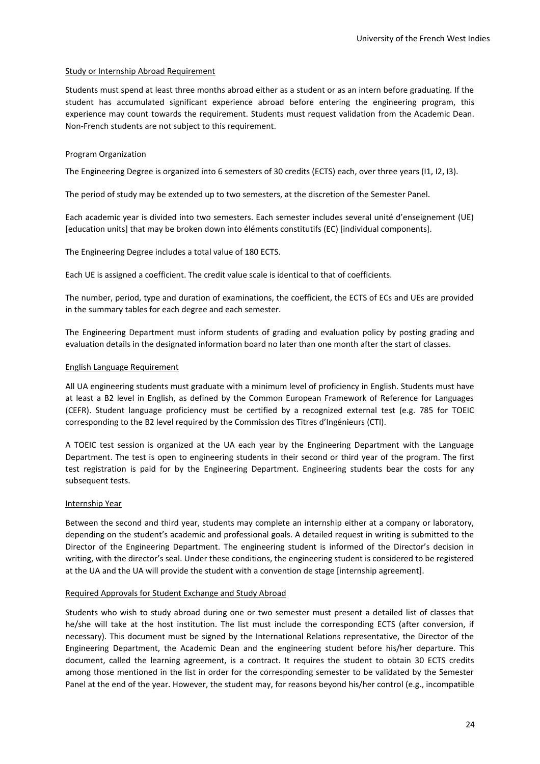# Study or Internship Abroad Requirement

Students must spend at least three months abroad either as a student or as an intern before graduating. If the student has accumulated significant experience abroad before entering the engineering program, this experience may count towards the requirement. Students must request validation from the Academic Dean. Non-French students are not subject to this requirement.

# Program Organization

The Engineering Degree is organized into 6 semesters of 30 credits (ECTS) each, over three years (I1, I2, I3).

The period of study may be extended up to two semesters, at the discretion of the Semester Panel.

Each academic year is divided into two semesters. Each semester includes several unité d'enseignement (UE) [education units] that may be broken down into éléments constitutifs (EC) [individual components].

The Engineering Degree includes a total value of 180 ECTS.

Each UE is assigned a coefficient. The credit value scale is identical to that of coefficients.

The number, period, type and duration of examinations, the coefficient, the ECTS of ECs and UEs are provided in the summary tables for each degree and each semester.

The Engineering Department must inform students of grading and evaluation policy by posting grading and evaluation details in the designated information board no later than one month after the start of classes.

### English Language Requirement

All UA engineering students must graduate with a minimum level of proficiency in English. Students must have at least a B2 level in English, as defined by the Common European Framework of Reference for Languages (CEFR). Student language proficiency must be certified by a recognized external test (e.g. 785 for TOEIC corresponding to the B2 level required by the Commission des Titres d'Ingénieurs (CTI).

A TOEIC test session is organized at the UA each year by the Engineering Department with the Language Department. The test is open to engineering students in their second or third year of the program. The first test registration is paid for by the Engineering Department. Engineering students bear the costs for any subsequent tests.

### Internship Year

Between the second and third year, students may complete an internship either at a company or laboratory, depending on the student's academic and professional goals. A detailed request in writing is submitted to the Director of the Engineering Department. The engineering student is informed of the Director's decision in writing, with the director's seal. Under these conditions, the engineering student is considered to be registered at the UA and the UA will provide the student with a convention de stage [internship agreement].

### Required Approvals for Student Exchange and Study Abroad

Students who wish to study abroad during one or two semester must present a detailed list of classes that he/she will take at the host institution. The list must include the corresponding ECTS (after conversion, if necessary). This document must be signed by the International Relations representative, the Director of the Engineering Department, the Academic Dean and the engineering student before his/her departure. This document, called the learning agreement, is a contract. It requires the student to obtain 30 ECTS credits among those mentioned in the list in order for the corresponding semester to be validated by the Semester Panel at the end of the year. However, the student may, for reasons beyond his/her control (e.g., incompatible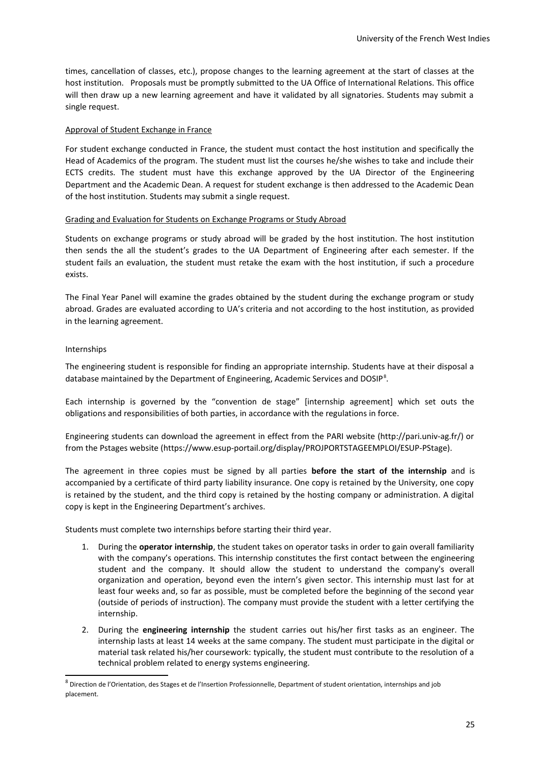times, cancellation of classes, etc.), propose changes to the learning agreement at the start of classes at the host institution. Proposals must be promptly submitted to the UA Office of International Relations. This office will then draw up a new learning agreement and have it validated by all signatories. Students may submit a single request.

# Approval of Student Exchange in France

For student exchange conducted in France, the student must contact the host institution and specifically the Head of Academics of the program. The student must list the courses he/she wishes to take and include their ECTS credits. The student must have this exchange approved by the UA Director of the Engineering Department and the Academic Dean. A request for student exchange is then addressed to the Academic Dean of the host institution. Students may submit a single request.

# Grading and Evaluation for Students on Exchange Programs or Study Abroad

Students on exchange programs or study abroad will be graded by the host institution. The host institution then sends the all the student's grades to the UA Department of Engineering after each semester. If the student fails an evaluation, the student must retake the exam with the host institution, if such a procedure exists.

The Final Year Panel will examine the grades obtained by the student during the exchange program or study abroad. Grades are evaluated according to UA's criteria and not according to the host institution, as provided in the learning agreement.

# Internships

The engineering student is responsible for finding an appropriate internship. Students have at their disposal a database maintained by the Department of Engineering, Academic Services and DOSIP<sup>[8](#page-24-0)</sup>.

Each internship is governed by the "convention de stage" [internship agreement] which set outs the obligations and responsibilities of both parties, in accordance with the regulations in force.

Engineering students can download the agreement in effect from the PARI website (http://pari.univ-ag.fr/) or from the Pstages website (https://www.esup-portail.org/display/PROJPORTSTAGEEMPLOI/ESUP-PStage).

The agreement in three copies must be signed by all parties **before the start of the internship** and is accompanied by a certificate of third party liability insurance. One copy is retained by the University, one copy is retained by the student, and the third copy is retained by the hosting company or administration. A digital copy is kept in the Engineering Department's archives.

Students must complete two internships before starting their third year.

- 1. During the **operator internship**, the student takes on operator tasks in order to gain overall familiarity with the company's operations. This internship constitutes the first contact between the engineering student and the company. It should allow the student to understand the company's overall organization and operation, beyond even the intern's given sector. This internship must last for at least four weeks and, so far as possible, must be completed before the beginning of the second year (outside of periods of instruction). The company must provide the student with a letter certifying the internship.
- 2. During the **engineering internship** the student carries out his/her first tasks as an engineer. The internship lasts at least 14 weeks at the same company. The student must participate in the digital or material task related his/her coursework: typically, the student must contribute to the resolution of a technical problem related to energy systems engineering.

<span id="page-24-0"></span><sup>&</sup>lt;sup>8</sup> Direction de l'Orientation, des Stages et de l'Insertion Professionnelle, Department of student orientation, internships and job placement.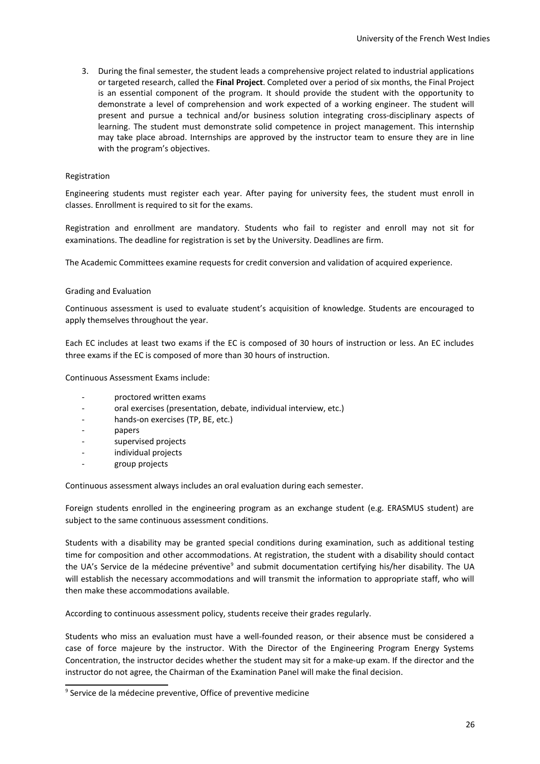3. During the final semester, the student leads a comprehensive project related to industrial applications or targeted research, called the **Final Project**. Completed over a period of six months, the Final Project is an essential component of the program. It should provide the student with the opportunity to demonstrate a level of comprehension and work expected of a working engineer. The student will present and pursue a technical and/or business solution integrating cross-disciplinary aspects of learning. The student must demonstrate solid competence in project management. This internship may take place abroad. Internships are approved by the instructor team to ensure they are in line with the program's objectives.

### Registration

Engineering students must register each year. After paying for university fees, the student must enroll in classes. Enrollment is required to sit for the exams.

Registration and enrollment are mandatory. Students who fail to register and enroll may not sit for examinations. The deadline for registration is set by the University. Deadlines are firm.

The Academic Committees examine requests for credit conversion and validation of acquired experience.

### Grading and Evaluation

Continuous assessment is used to evaluate student's acquisition of knowledge. Students are encouraged to apply themselves throughout the year.

Each EC includes at least two exams if the EC is composed of 30 hours of instruction or less. An EC includes three exams if the EC is composed of more than 30 hours of instruction.

Continuous Assessment Exams include:

- proctored written exams
- oral exercises (presentation, debate, individual interview, etc.)
- hands-on exercises (TP, BE, etc.)
- papers
- supervised projects
- individual projects
- group projects

Continuous assessment always includes an oral evaluation during each semester.

Foreign students enrolled in the engineering program as an exchange student (e.g. ERASMUS student) are subject to the same continuous assessment conditions.

Students with a disability may be granted special conditions during examination, such as additional testing time for composition and other accommodations. At registration, the student with a disability should contact the UA's Service de la médecine préventive<sup>[9](#page-25-0)</sup> and submit documentation certifying his/her disability. The UA will establish the necessary accommodations and will transmit the information to appropriate staff, who will then make these accommodations available.

According to continuous assessment policy, students receive their grades regularly.

Students who miss an evaluation must have a well-founded reason, or their absence must be considered a case of force majeure by the instructor. With the Director of the Engineering Program Energy Systems Concentration, the instructor decides whether the student may sit for a make-up exam. If the director and the instructor do not agree, the Chairman of the Examination Panel will make the final decision.

<span id="page-25-0"></span><sup>&</sup>lt;sup>9</sup> Service de la médecine preventive, Office of preventive medicine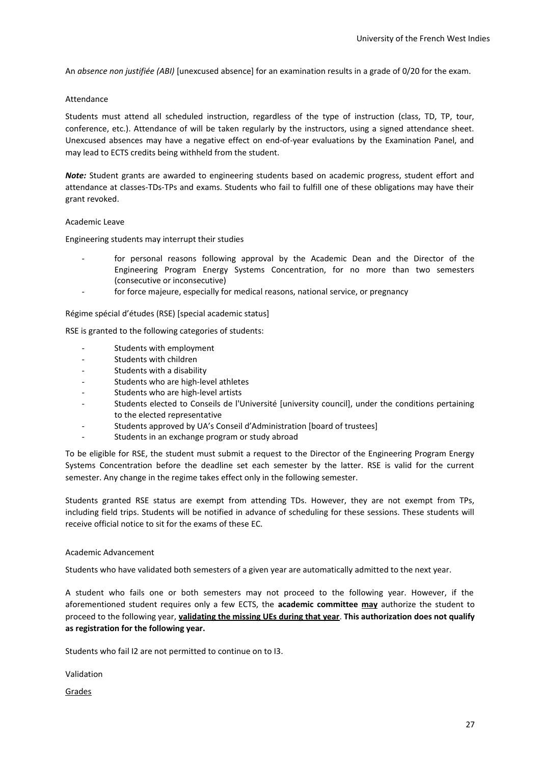An *absence non justifiée (ABI)* [unexcused absence] for an examination results in a grade of 0/20 for the exam.

### Attendance

Students must attend all scheduled instruction, regardless of the type of instruction (class, TD, TP, tour, conference, etc.). Attendance of will be taken regularly by the instructors, using a signed attendance sheet. Unexcused absences may have a negative effect on end-of-year evaluations by the Examination Panel, and may lead to ECTS credits being withheld from the student.

*Note:* Student grants are awarded to engineering students based on academic progress, student effort and attendance at classes-TDs-TPs and exams. Students who fail to fulfill one of these obligations may have their grant revoked.

### Academic Leave

Engineering students may interrupt their studies

- for personal reasons following approval by the Academic Dean and the Director of the Engineering Program Energy Systems Concentration, for no more than two semesters (consecutive or inconsecutive)
- for force majeure, especially for medical reasons, national service, or pregnancy

Régime spécial d'études (RSE) [special academic status]

RSE is granted to the following categories of students:

- Students with employment
- Students with children
- Students with a disability
- Students who are high-level athletes
- Students who are high-level artists
- Students elected to Conseils de l'Université [university council], under the conditions pertaining to the elected representative
- Students approved by UA's Conseil d'Administration [board of trustees]
- Students in an exchange program or study abroad

To be eligible for RSE, the student must submit a request to the Director of the Engineering Program Energy Systems Concentration before the deadline set each semester by the latter. RSE is valid for the current semester. Any change in the regime takes effect only in the following semester.

Students granted RSE status are exempt from attending TDs. However, they are not exempt from TPs, including field trips. Students will be notified in advance of scheduling for these sessions. These students will receive official notice to sit for the exams of these EC.

### Academic Advancement

Students who have validated both semesters of a given year are automatically admitted to the next year.

A student who fails one or both semesters may not proceed to the following year. However, if the aforementioned student requires only a few ECTS, the **academic committee may** authorize the student to proceed to the following year, **validating the missing UEs during that year**. **This authorization does not qualify as registration for the following year.**

Students who fail I2 are not permitted to continue on to I3.

Validation

**Grades**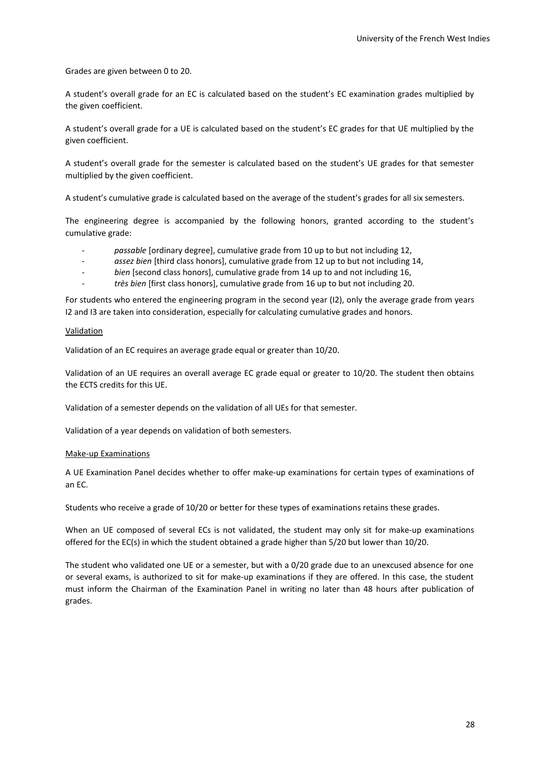Grades are given between 0 to 20.

A student's overall grade for an EC is calculated based on the student's EC examination grades multiplied by the given coefficient.

A student's overall grade for a UE is calculated based on the student's EC grades for that UE multiplied by the given coefficient.

A student's overall grade for the semester is calculated based on the student's UE grades for that semester multiplied by the given coefficient.

A student's cumulative grade is calculated based on the average of the student's grades for all six semesters.

The engineering degree is accompanied by the following honors, granted according to the student's cumulative grade:

- *passable* [ordinary degree], cumulative grade from 10 up to but not including 12,
- *assez bien* [third class honors], cumulative grade from 12 up to but not including 14,
- *bien* [second class honors], cumulative grade from 14 up to and not including 16,
- *très bien* [first class honors], cumulative grade from 16 up to but not including 20.

For students who entered the engineering program in the second year (I2), only the average grade from years I2 and I3 are taken into consideration, especially for calculating cumulative grades and honors.

### Validation

Validation of an EC requires an average grade equal or greater than 10/20.

Validation of an UE requires an overall average EC grade equal or greater to 10/20. The student then obtains the ECTS credits for this UE.

Validation of a semester depends on the validation of all UEs for that semester.

Validation of a year depends on validation of both semesters.

### Make-up Examinations

A UE Examination Panel decides whether to offer make-up examinations for certain types of examinations of an EC.

Students who receive a grade of 10/20 or better for these types of examinations retains these grades.

When an UE composed of several ECs is not validated, the student may only sit for make-up examinations offered for the EC(s) in which the student obtained a grade higher than 5/20 but lower than 10/20.

The student who validated one UE or a semester, but with a 0/20 grade due to an unexcused absence for one or several exams, is authorized to sit for make-up examinations if they are offered. In this case, the student must inform the Chairman of the Examination Panel in writing no later than 48 hours after publication of grades.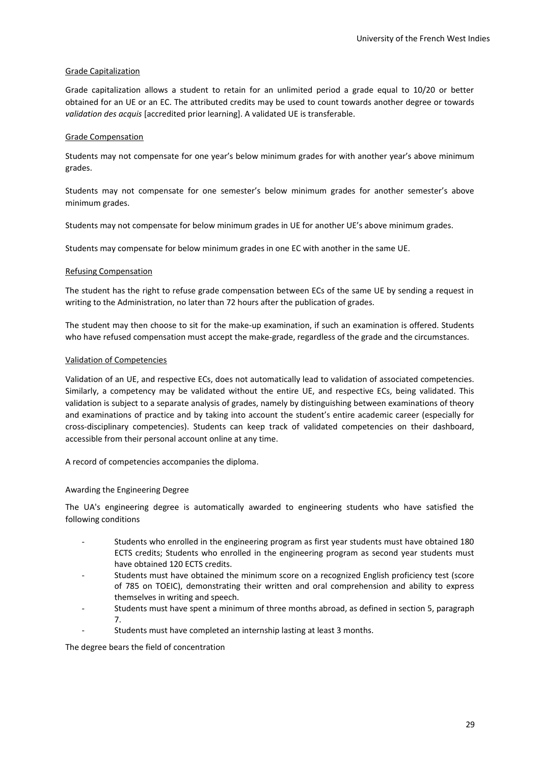# Grade Capitalization

Grade capitalization allows a student to retain for an unlimited period a grade equal to 10/20 or better obtained for an UE or an EC. The attributed credits may be used to count towards another degree or towards *validation des acquis* [accredited prior learning]. A validated UE is transferable.

# Grade Compensation

Students may not compensate for one year's below minimum grades for with another year's above minimum grades.

Students may not compensate for one semester's below minimum grades for another semester's above minimum grades.

Students may not compensate for below minimum grades in UE for another UE's above minimum grades.

Students may compensate for below minimum grades in one EC with another in the same UE.

# Refusing Compensation

The student has the right to refuse grade compensation between ECs of the same UE by sending a request in writing to the Administration, no later than 72 hours after the publication of grades.

The student may then choose to sit for the make-up examination, if such an examination is offered. Students who have refused compensation must accept the make-grade, regardless of the grade and the circumstances.

# Validation of Competencies

Validation of an UE, and respective ECs, does not automatically lead to validation of associated competencies. Similarly, a competency may be validated without the entire UE, and respective ECs, being validated. This validation is subject to a separate analysis of grades, namely by distinguishing between examinations of theory and examinations of practice and by taking into account the student's entire academic career (especially for cross-disciplinary competencies). Students can keep track of validated competencies on their dashboard, accessible from their personal account online at any time.

A record of competencies accompanies the diploma.

# Awarding the Engineering Degree

The UA's engineering degree is automatically awarded to engineering students who have satisfied the following conditions

- Students who enrolled in the engineering program as first year students must have obtained 180 ECTS credits; Students who enrolled in the engineering program as second year students must have obtained 120 ECTS credits.
- Students must have obtained the minimum score on a recognized English proficiency test (score of 785 on TOEIC), demonstrating their written and oral comprehension and ability to express themselves in writing and speech.
- Students must have spent a minimum of three months abroad, as defined in section 5, paragraph 7.
- Students must have completed an internship lasting at least 3 months.

The degree bears the field of concentration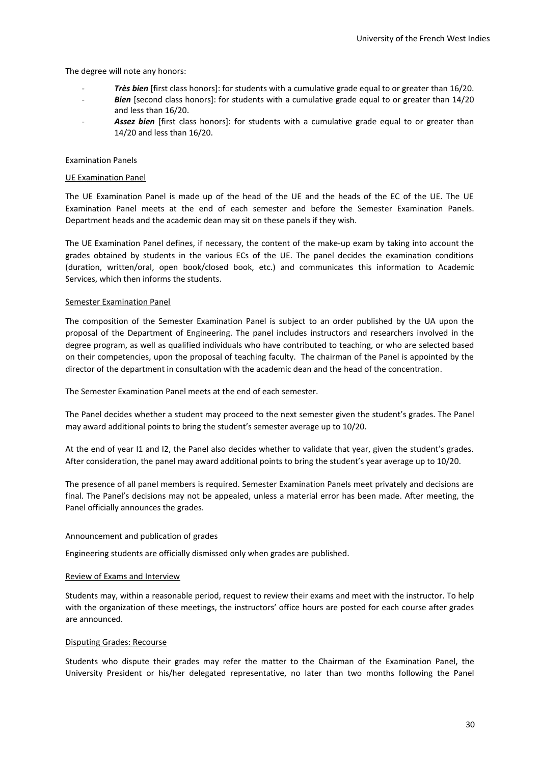The degree will note any honors:

- *Très bien* [first class honors]: for students with a cumulative grade equal to or greater than 16/20.
- Bien [second class honors]: for students with a cumulative grade equal to or greater than 14/20 and less than 16/20.
- Assez bien [first class honors]: for students with a cumulative grade equal to or greater than 14/20 and less than 16/20.

### Examination Panels

### UE Examination Panel

The UE Examination Panel is made up of the head of the UE and the heads of the EC of the UE. The UE Examination Panel meets at the end of each semester and before the Semester Examination Panels. Department heads and the academic dean may sit on these panels if they wish.

The UE Examination Panel defines, if necessary, the content of the make-up exam by taking into account the grades obtained by students in the various ECs of the UE. The panel decides the examination conditions (duration, written/oral, open book/closed book, etc.) and communicates this information to Academic Services, which then informs the students.

### Semester Examination Panel

The composition of the Semester Examination Panel is subject to an order published by the UA upon the proposal of the Department of Engineering. The panel includes instructors and researchers involved in the degree program, as well as qualified individuals who have contributed to teaching, or who are selected based on their competencies, upon the proposal of teaching faculty. The chairman of the Panel is appointed by the director of the department in consultation with the academic dean and the head of the concentration.

The Semester Examination Panel meets at the end of each semester.

The Panel decides whether a student may proceed to the next semester given the student's grades. The Panel may award additional points to bring the student's semester average up to 10/20.

At the end of year I1 and I2, the Panel also decides whether to validate that year, given the student's grades. After consideration, the panel may award additional points to bring the student's year average up to 10/20.

The presence of all panel members is required. Semester Examination Panels meet privately and decisions are final. The Panel's decisions may not be appealed, unless a material error has been made. After meeting, the Panel officially announces the grades.

# Announcement and publication of grades

Engineering students are officially dismissed only when grades are published.

### Review of Exams and Interview

Students may, within a reasonable period, request to review their exams and meet with the instructor. To help with the organization of these meetings, the instructors' office hours are posted for each course after grades are announced.

### Disputing Grades: Recourse

Students who dispute their grades may refer the matter to the Chairman of the Examination Panel, the University President or his/her delegated representative, no later than two months following the Panel